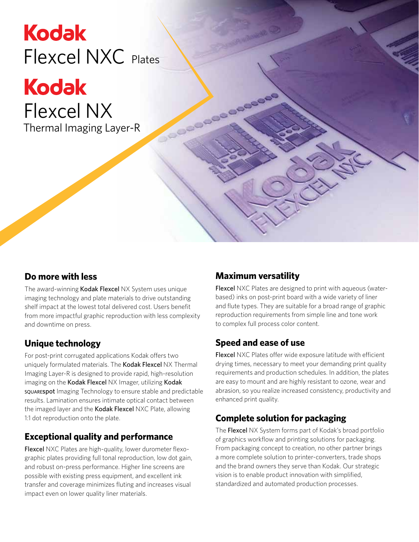# **Kodak** Flexcel NXC Plates

**Kodak** Flexcel NX Thermal Imaging Layer-R

**Do more with less**

The award-winning Kodak Flexcel NX System uses unique imaging technology and plate materials to drive outstanding shelf impact at the lowest total delivered cost. Users benefit from more impactful graphic reproduction with less complexity and downtime on press.

#### **Unique technology**

For post-print corrugated applications Kodak offers two uniquely formulated materials. The Kodak Flexcel NX Thermal Imaging Layer-R is designed to provide rapid, high-resolution imaging on the Kodak Flexcel NX Imager, utilizing Kodak squarespot Imaging Technology to ensure stable and predictable results. Lamination ensures intimate optical contact between the imaged layer and the Kodak Flexcel NXC Plate, allowing 1:1 dot reproduction onto the plate.

#### **Exceptional quality and performance**

Flexcel NXC Plates are high-quality, lower durometer flexographic plates providing full tonal reproduction, low dot gain, and robust on-press performance. Higher line screens are possible with existing press equipment, and excellent ink transfer and coverage minimizes fluting and increases visual impact even on lower quality liner materials.

#### **Maximum versatility**

Cooooooo

Flexcel NXC Plates are designed to print with aqueous (waterbased) inks on post-print board with a wide variety of liner and flute types. They are suitable for a broad range of graphic reproduction requirements from simple line and tone work to complex full process color content.

#### **Speed and ease of use**

Flexcel NXC Plates offer wide exposure latitude with efficient drying times, necessary to meet your demanding print quality requirements and production schedules. In addition, the plates are easy to mount and are highly resistant to ozone, wear and abrasion, so you realize increased consistency, productivity and enhanced print quality.

#### **Complete solution for packaging**

The Flexcel NX System forms part of Kodak's broad portfolio of graphics workflow and printing solutions for packaging. From packaging concept to creation, no other partner brings a more complete solution to printer-converters, trade shops and the brand owners they serve than Kodak. Our strategic vision is to enable product innovation with simplified, standardized and automated production processes.